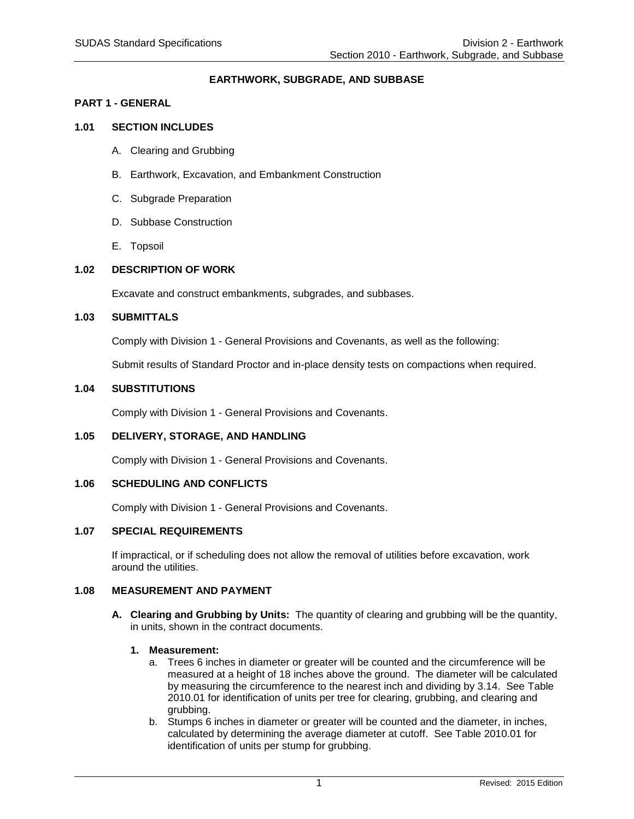# **EARTHWORK, SUBGRADE, AND SUBBASE**

### **PART 1 - GENERAL**

# **1.01 SECTION INCLUDES**

- A. Clearing and Grubbing
- B. Earthwork, Excavation, and Embankment Construction
- C. Subgrade Preparation
- D. Subbase Construction
- E. Topsoil

### **1.02 DESCRIPTION OF WORK**

Excavate and construct embankments, subgrades, and subbases.

#### **1.03 SUBMITTALS**

Comply with Division 1 - General Provisions and Covenants, as well as the following:

Submit results of Standard Proctor and in-place density tests on compactions when required.

### **1.04 SUBSTITUTIONS**

Comply with Division 1 - General Provisions and Covenants.

# **1.05 DELIVERY, STORAGE, AND HANDLING**

Comply with Division 1 - General Provisions and Covenants.

### **1.06 SCHEDULING AND CONFLICTS**

Comply with Division 1 - General Provisions and Covenants.

### **1.07 SPECIAL REQUIREMENTS**

If impractical, or if scheduling does not allow the removal of utilities before excavation, work around the utilities.

#### **1.08 MEASUREMENT AND PAYMENT**

**A. Clearing and Grubbing by Units:** The quantity of clearing and grubbing will be the quantity, in units, shown in the contract documents.

#### **1. Measurement:**

- a. Trees 6 inches in diameter or greater will be counted and the circumference will be measured at a height of 18 inches above the ground. The diameter will be calculated by measuring the circumference to the nearest inch and dividing by 3.14. See Table 2010.01 for identification of units per tree for clearing, grubbing, and clearing and grubbing.
- b. Stumps 6 inches in diameter or greater will be counted and the diameter, in inches, calculated by determining the average diameter at cutoff. See Table 2010.01 for identification of units per stump for grubbing.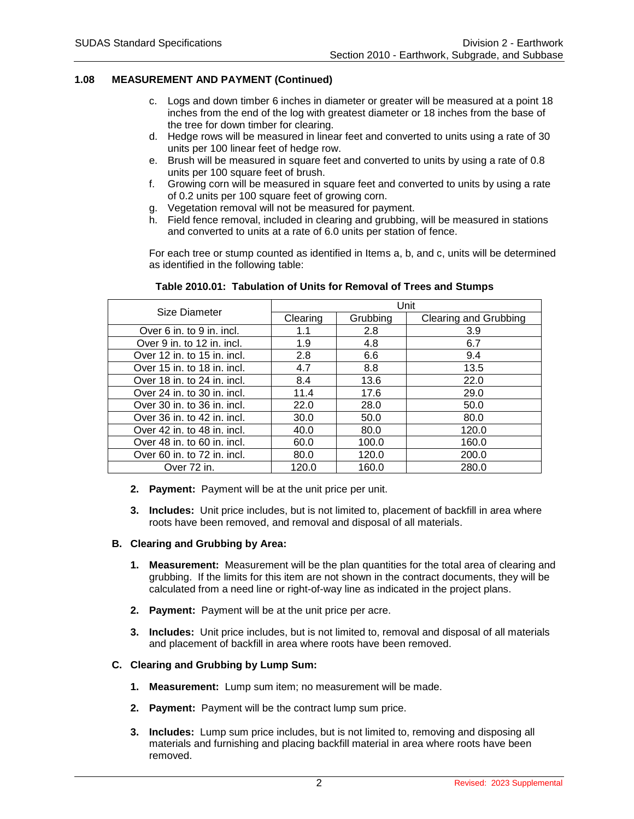- c. Logs and down timber 6 inches in diameter or greater will be measured at a point 18 inches from the end of the log with greatest diameter or 18 inches from the base of the tree for down timber for clearing.
- d. Hedge rows will be measured in linear feet and converted to units using a rate of 30 units per 100 linear feet of hedge row.
- e. Brush will be measured in square feet and converted to units by using a rate of 0.8 units per 100 square feet of brush.
- f. Growing corn will be measured in square feet and converted to units by using a rate of 0.2 units per 100 square feet of growing corn.
- g. Vegetation removal will not be measured for payment.
- h. Field fence removal, included in clearing and grubbing, will be measured in stations and converted to units at a rate of 6.0 units per station of fence.

For each tree or stump counted as identified in Items a, b, and c, units will be determined as identified in the following table:

| Size Diameter               | Unit     |          |                              |  |
|-----------------------------|----------|----------|------------------------------|--|
|                             | Clearing | Grubbing | <b>Clearing and Grubbing</b> |  |
| Over 6 in. to 9 in. incl.   | 1.1      | 2.8      | 3.9                          |  |
| Over 9 in. to 12 in. incl.  | 1.9      | 4.8      | 6.7                          |  |
| Over 12 in. to 15 in. incl. | 2.8      | 6.6      | 9.4                          |  |
| Over 15 in. to 18 in. incl. | 4.7      | 8.8      | 13.5                         |  |
| Over 18 in. to 24 in. incl. | 8.4      | 13.6     | 22.0                         |  |
| Over 24 in. to 30 in. incl. | 11.4     | 17.6     | 29.0                         |  |
| Over 30 in. to 36 in. incl. | 22.0     | 28.0     | 50.0                         |  |
| Over 36 in. to 42 in. incl. | 30.0     | 50.0     | 80.0                         |  |
| Over 42 in. to 48 in. incl. | 40.0     | 80.0     | 120.0                        |  |
| Over 48 in. to 60 in. incl. | 60.0     | 100.0    | 160.0                        |  |
| Over 60 in. to 72 in. incl. | 80.0     | 120.0    | 200.0                        |  |
| Over 72 in.                 | 120.0    | 160.0    | 280.0                        |  |

#### **Table 2010.01: Tabulation of Units for Removal of Trees and Stumps**

- **2. Payment:** Payment will be at the unit price per unit.
- **3. Includes:** Unit price includes, but is not limited to, placement of backfill in area where roots have been removed, and removal and disposal of all materials.

#### **B. Clearing and Grubbing by Area:**

- **1. Measurement:** Measurement will be the plan quantities for the total area of clearing and grubbing. If the limits for this item are not shown in the contract documents, they will be calculated from a need line or right-of-way line as indicated in the project plans.
- **2. Payment:** Payment will be at the unit price per acre.
- **3. Includes:** Unit price includes, but is not limited to, removal and disposal of all materials and placement of backfill in area where roots have been removed.

### **C. Clearing and Grubbing by Lump Sum:**

- **1. Measurement:** Lump sum item; no measurement will be made.
- **2. Payment:** Payment will be the contract lump sum price.
- **3. Includes:** Lump sum price includes, but is not limited to, removing and disposing all materials and furnishing and placing backfill material in area where roots have been removed.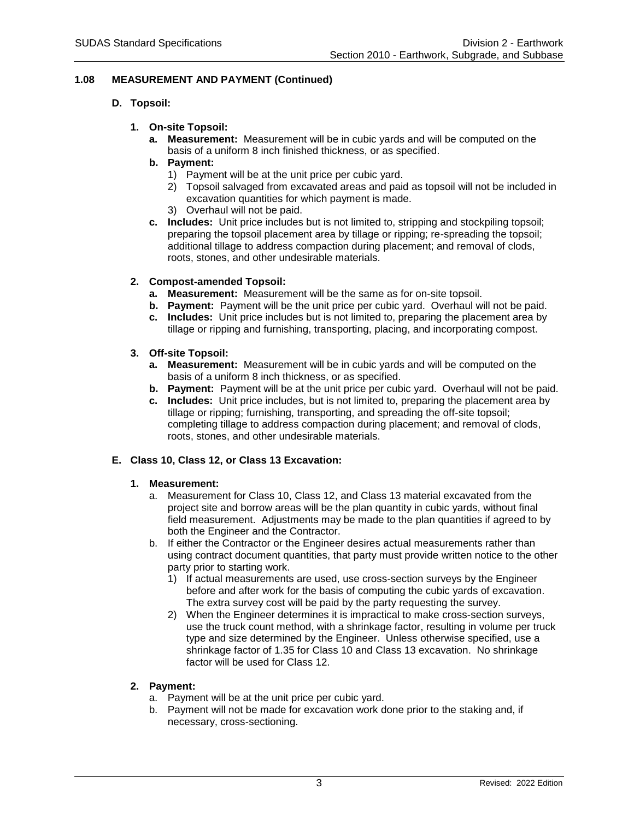# **D. Topsoil:**

# **1. On-site Topsoil:**

- **a. Measurement:** Measurement will be in cubic yards and will be computed on the basis of a uniform 8 inch finished thickness, or as specified.
- **b. Payment:**
	- 1) Payment will be at the unit price per cubic yard.
	- 2) Topsoil salvaged from excavated areas and paid as topsoil will not be included in excavation quantities for which payment is made.
	- 3) Overhaul will not be paid.
- **c. Includes:** Unit price includes but is not limited to, stripping and stockpiling topsoil; preparing the topsoil placement area by tillage or ripping; re-spreading the topsoil; additional tillage to address compaction during placement; and removal of clods, roots, stones, and other undesirable materials.

### **2. Compost-amended Topsoil:**

- **a. Measurement:** Measurement will be the same as for on-site topsoil.
- **b. Payment:** Payment will be the unit price per cubic yard. Overhaul will not be paid.
- **c. Includes:** Unit price includes but is not limited to, preparing the placement area by tillage or ripping and furnishing, transporting, placing, and incorporating compost.

### **3. Off-site Topsoil:**

- **a. Measurement:** Measurement will be in cubic yards and will be computed on the basis of a uniform 8 inch thickness, or as specified.
- **b. Payment:** Payment will be at the unit price per cubic yard. Overhaul will not be paid.
- **c. Includes:** Unit price includes, but is not limited to, preparing the placement area by tillage or ripping; furnishing, transporting, and spreading the off-site topsoil; completing tillage to address compaction during placement; and removal of clods, roots, stones, and other undesirable materials.

# **E. Class 10, Class 12, or Class 13 Excavation:**

#### **1. Measurement:**

- a. Measurement for Class 10, Class 12, and Class 13 material excavated from the project site and borrow areas will be the plan quantity in cubic yards, without final field measurement. Adjustments may be made to the plan quantities if agreed to by both the Engineer and the Contractor.
- b. If either the Contractor or the Engineer desires actual measurements rather than using contract document quantities, that party must provide written notice to the other party prior to starting work.
	- 1) If actual measurements are used, use cross-section surveys by the Engineer before and after work for the basis of computing the cubic yards of excavation. The extra survey cost will be paid by the party requesting the survey.
	- 2) When the Engineer determines it is impractical to make cross-section surveys, use the truck count method, with a shrinkage factor, resulting in volume per truck type and size determined by the Engineer. Unless otherwise specified, use a shrinkage factor of 1.35 for Class 10 and Class 13 excavation. No shrinkage factor will be used for Class 12.

#### **2. Payment:**

- a. Payment will be at the unit price per cubic yard.
- b. Payment will not be made for excavation work done prior to the staking and, if necessary, cross-sectioning.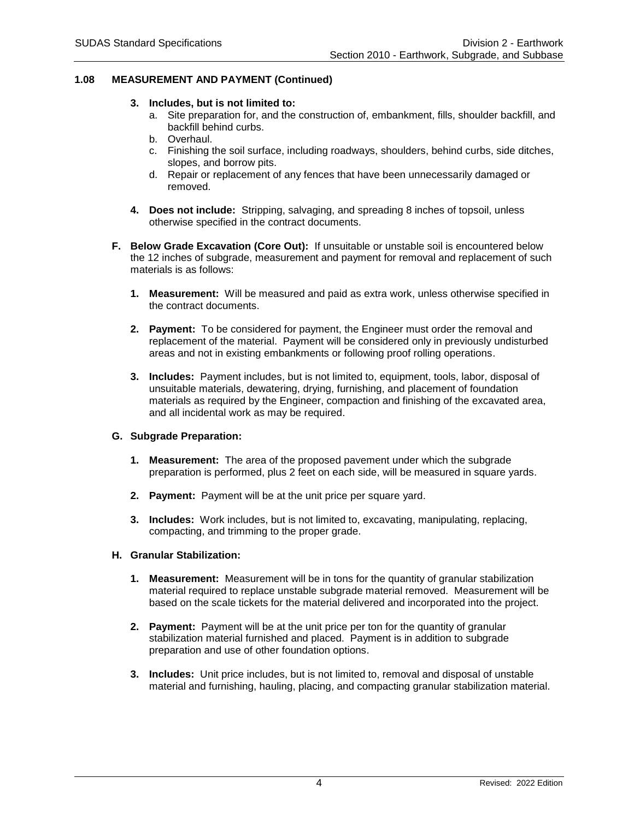#### **3. Includes, but is not limited to:**

- a. Site preparation for, and the construction of, embankment, fills, shoulder backfill, and backfill behind curbs.
- b. Overhaul.
- c. Finishing the soil surface, including roadways, shoulders, behind curbs, side ditches, slopes, and borrow pits.
- d. Repair or replacement of any fences that have been unnecessarily damaged or removed.
- **4. Does not include:** Stripping, salvaging, and spreading 8 inches of topsoil, unless otherwise specified in the contract documents.
- **F. Below Grade Excavation (Core Out):** If unsuitable or unstable soil is encountered below the 12 inches of subgrade, measurement and payment for removal and replacement of such materials is as follows:
	- **1. Measurement:** Will be measured and paid as extra work, unless otherwise specified in the contract documents.
	- **2. Payment:** To be considered for payment, the Engineer must order the removal and replacement of the material. Payment will be considered only in previously undisturbed areas and not in existing embankments or following proof rolling operations.
	- **3. Includes:** Payment includes, but is not limited to, equipment, tools, labor, disposal of unsuitable materials, dewatering, drying, furnishing, and placement of foundation materials as required by the Engineer, compaction and finishing of the excavated area, and all incidental work as may be required.

#### **G. Subgrade Preparation:**

- **1. Measurement:** The area of the proposed pavement under which the subgrade preparation is performed, plus 2 feet on each side, will be measured in square yards.
- **2. Payment:** Payment will be at the unit price per square yard.
- **3. Includes:** Work includes, but is not limited to, excavating, manipulating, replacing, compacting, and trimming to the proper grade.

#### **H. Granular Stabilization:**

- **1. Measurement:** Measurement will be in tons for the quantity of granular stabilization material required to replace unstable subgrade material removed. Measurement will be based on the scale tickets for the material delivered and incorporated into the project.
- **2. Payment:** Payment will be at the unit price per ton for the quantity of granular stabilization material furnished and placed. Payment is in addition to subgrade preparation and use of other foundation options.
- **3. Includes:** Unit price includes, but is not limited to, removal and disposal of unstable material and furnishing, hauling, placing, and compacting granular stabilization material.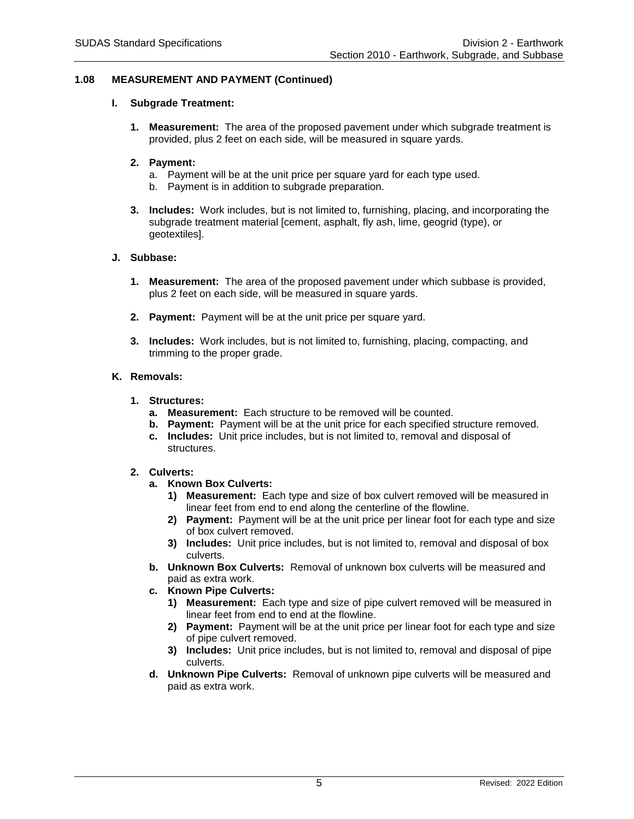### **I. Subgrade Treatment:**

**1. Measurement:** The area of the proposed pavement under which subgrade treatment is provided, plus 2 feet on each side, will be measured in square yards.

### **2. Payment:**

- a. Payment will be at the unit price per square yard for each type used.
- b. Payment is in addition to subgrade preparation.
- **3. Includes:** Work includes, but is not limited to, furnishing, placing, and incorporating the subgrade treatment material [cement, asphalt, fly ash, lime, geogrid (type), or geotextiles].

### **J. Subbase:**

- **1. Measurement:** The area of the proposed pavement under which subbase is provided, plus 2 feet on each side, will be measured in square yards.
- **2. Payment:** Payment will be at the unit price per square yard.
- **3. Includes:** Work includes, but is not limited to, furnishing, placing, compacting, and trimming to the proper grade.

### **K. Removals:**

### **1. Structures:**

- **a. Measurement:** Each structure to be removed will be counted.
- **b. Payment:** Payment will be at the unit price for each specified structure removed.
- **c. Includes:** Unit price includes, but is not limited to, removal and disposal of structures.

#### **2. Culverts:**

- **a. Known Box Culverts:**
	- **1) Measurement:** Each type and size of box culvert removed will be measured in linear feet from end to end along the centerline of the flowline.
	- **2) Payment:** Payment will be at the unit price per linear foot for each type and size of box culvert removed.
	- **3) Includes:** Unit price includes, but is not limited to, removal and disposal of box culverts.
- **b. Unknown Box Culverts:** Removal of unknown box culverts will be measured and paid as extra work.
- **c. Known Pipe Culverts:**
	- **1) Measurement:** Each type and size of pipe culvert removed will be measured in linear feet from end to end at the flowline.
	- **2) Payment:** Payment will be at the unit price per linear foot for each type and size of pipe culvert removed.
	- **3) Includes:** Unit price includes, but is not limited to, removal and disposal of pipe culverts.
- **d. Unknown Pipe Culverts:** Removal of unknown pipe culverts will be measured and paid as extra work.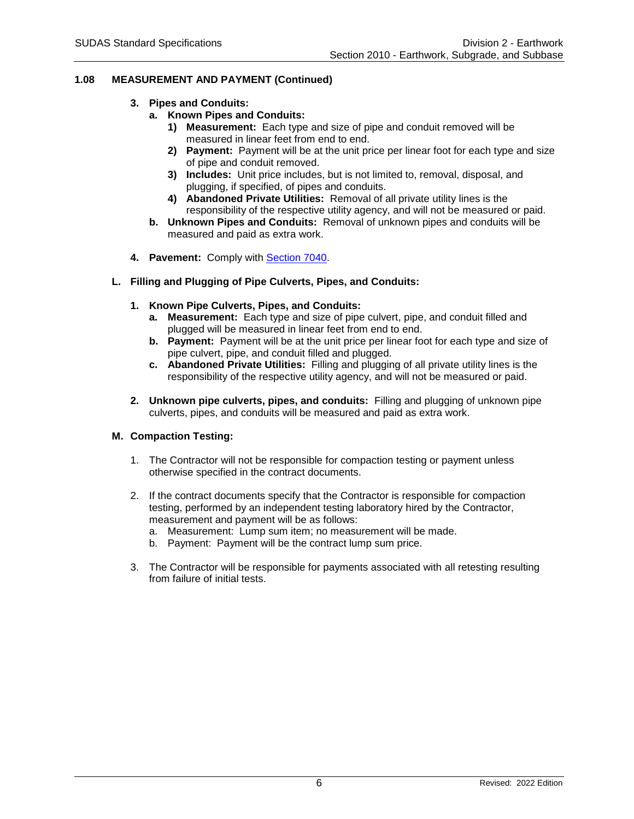- **3. Pipes and Conduits:**
	- **a. Known Pipes and Conduits:**
		- **1) Measurement:** Each type and size of pipe and conduit removed will be measured in linear feet from end to end.
		- **2) Payment:** Payment will be at the unit price per linear foot for each type and size of pipe and conduit removed.
		- **3) Includes:** Unit price includes, but is not limited to, removal, disposal, and plugging, if specified, of pipes and conduits.
		- **4) Abandoned Private Utilities:** Removal of all private utility lines is the responsibility of the respective utility agency, and will not be measured or paid.
	- **b. Unknown Pipes and Conduits:** Removal of unknown pipes and conduits will be measured and paid as extra work.
- **4. Pavement:** Comply with [Section 7040.](https://intrans.iastate.edu/app/uploads/sites/15/2020/02/7040.pdf)
- **L. Filling and Plugging of Pipe Culverts, Pipes, and Conduits:**
	- **1. Known Pipe Culverts, Pipes, and Conduits:**
		- **a. Measurement:** Each type and size of pipe culvert, pipe, and conduit filled and plugged will be measured in linear feet from end to end.
		- **b. Payment:** Payment will be at the unit price per linear foot for each type and size of pipe culvert, pipe, and conduit filled and plugged.
		- **c. Abandoned Private Utilities:** Filling and plugging of all private utility lines is the responsibility of the respective utility agency, and will not be measured or paid.
	- **2. Unknown pipe culverts, pipes, and conduits:** Filling and plugging of unknown pipe culverts, pipes, and conduits will be measured and paid as extra work.

# **M. Compaction Testing:**

- 1. The Contractor will not be responsible for compaction testing or payment unless otherwise specified in the contract documents.
- 2. If the contract documents specify that the Contractor is responsible for compaction testing, performed by an independent testing laboratory hired by the Contractor, measurement and payment will be as follows:
	- a. Measurement: Lump sum item; no measurement will be made.
	- b. Payment: Payment will be the contract lump sum price.
- 3. The Contractor will be responsible for payments associated with all retesting resulting from failure of initial tests.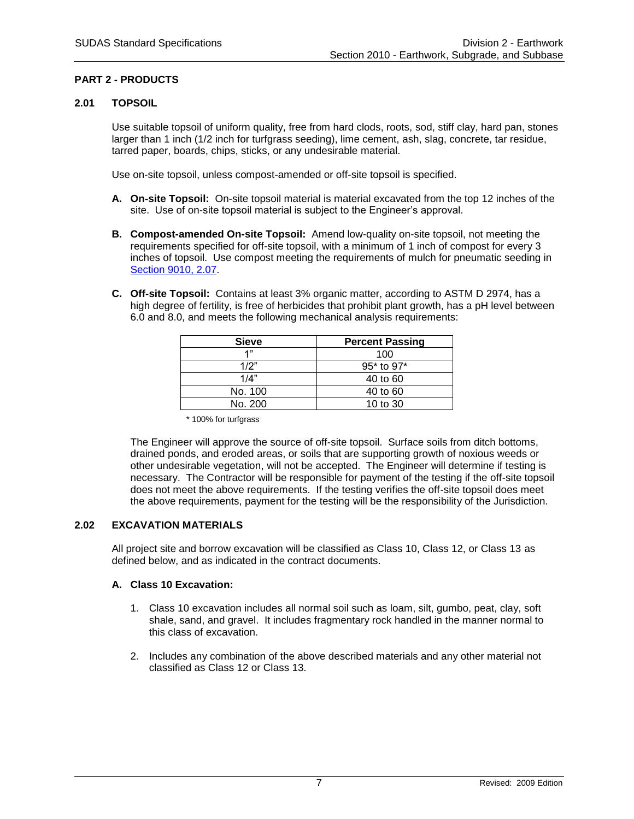# **PART 2 - PRODUCTS**

# **2.01 TOPSOIL**

Use suitable topsoil of uniform quality, free from hard clods, roots, sod, stiff clay, hard pan, stones larger than 1 inch (1/2 inch for turfgrass seeding), lime cement, ash, slag, concrete, tar residue, tarred paper, boards, chips, sticks, or any undesirable material.

Use on-site topsoil, unless compost-amended or off-site topsoil is specified.

- **A. On-site Topsoil:** On-site topsoil material is material excavated from the top 12 inches of the site. Use of on-site topsoil material is subject to the Engineer's approval.
- **B. Compost-amended On-site Topsoil:** Amend low-quality on-site topsoil, not meeting the requirements specified for off-site topsoil, with a minimum of 1 inch of compost for every 3 inches of topsoil. Use compost meeting the requirements of mulch for pneumatic seeding in [Section 9010, 2.07.](https://intrans.iastate.edu/app/uploads/sites/15/2020/02/9010.pdf#page=13)
- **C. Off-site Topsoil:** Contains at least 3% organic matter, according to ASTM D 2974, has a high degree of fertility, is free of herbicides that prohibit plant growth, has a pH level between 6.0 and 8.0, and meets the following mechanical analysis requirements:

| <b>Sieve</b> | <b>Percent Passing</b> |  |  |
|--------------|------------------------|--|--|
| 4"           | 100                    |  |  |
| 1/2"         | 95* to 97*             |  |  |
| 1/4"         | 40 to 60               |  |  |
| No. 100      | 40 to 60               |  |  |
| No. 200      | 10 to 30               |  |  |

\* 100% for turfgrass

The Engineer will approve the source of off-site topsoil. Surface soils from ditch bottoms, drained ponds, and eroded areas, or soils that are supporting growth of noxious weeds or other undesirable vegetation, will not be accepted. The Engineer will determine if testing is necessary. The Contractor will be responsible for payment of the testing if the off-site topsoil does not meet the above requirements. If the testing verifies the off-site topsoil does meet the above requirements, payment for the testing will be the responsibility of the Jurisdiction.

# **2.02 EXCAVATION MATERIALS**

All project site and borrow excavation will be classified as Class 10, Class 12, or Class 13 as defined below, and as indicated in the contract documents.

# **A. Class 10 Excavation:**

- 1. Class 10 excavation includes all normal soil such as loam, silt, gumbo, peat, clay, soft shale, sand, and gravel. It includes fragmentary rock handled in the manner normal to this class of excavation.
- 2. Includes any combination of the above described materials and any other material not classified as Class 12 or Class 13.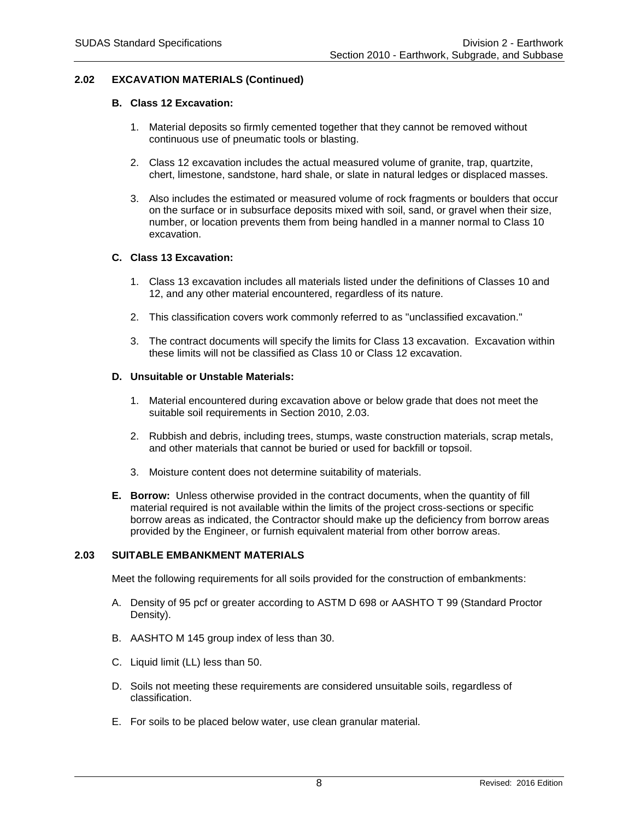# **2.02 EXCAVATION MATERIALS (Continued)**

### **B. Class 12 Excavation:**

- 1. Material deposits so firmly cemented together that they cannot be removed without continuous use of pneumatic tools or blasting.
- 2. Class 12 excavation includes the actual measured volume of granite, trap, quartzite, chert, limestone, sandstone, hard shale, or slate in natural ledges or displaced masses.
- 3. Also includes the estimated or measured volume of rock fragments or boulders that occur on the surface or in subsurface deposits mixed with soil, sand, or gravel when their size, number, or location prevents them from being handled in a manner normal to Class 10 excavation.

### **C. Class 13 Excavation:**

- 1. Class 13 excavation includes all materials listed under the definitions of Classes 10 and 12, and any other material encountered, regardless of its nature.
- 2. This classification covers work commonly referred to as "unclassified excavation."
- 3. The contract documents will specify the limits for Class 13 excavation. Excavation within these limits will not be classified as Class 10 or Class 12 excavation.

### **D. Unsuitable or Unstable Materials:**

- 1. Material encountered during excavation above or below grade that does not meet the suitable soil requirements in Section 2010, 2.03.
- 2. Rubbish and debris, including trees, stumps, waste construction materials, scrap metals, and other materials that cannot be buried or used for backfill or topsoil.
- 3. Moisture content does not determine suitability of materials.
- **E. Borrow:** Unless otherwise provided in the contract documents, when the quantity of fill material required is not available within the limits of the project cross-sections or specific borrow areas as indicated, the Contractor should make up the deficiency from borrow areas provided by the Engineer, or furnish equivalent material from other borrow areas.

#### **2.03 SUITABLE EMBANKMENT MATERIALS**

Meet the following requirements for all soils provided for the construction of embankments:

- A. Density of 95 pcf or greater according to ASTM D 698 or AASHTO T 99 (Standard Proctor Density).
- B. AASHTO M 145 group index of less than 30.
- C. Liquid limit (LL) less than 50.
- D. Soils not meeting these requirements are considered unsuitable soils, regardless of classification.
- E. For soils to be placed below water, use clean granular material.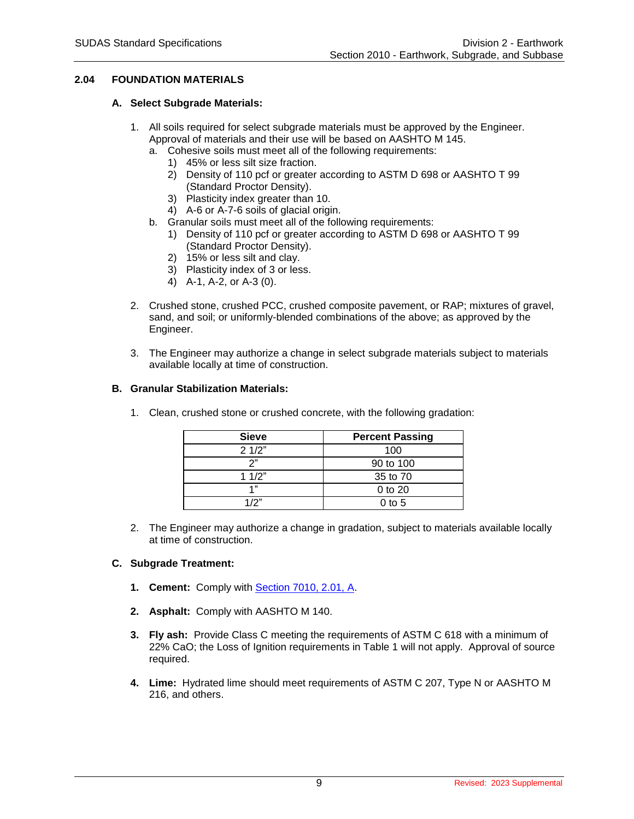# **2.04 FOUNDATION MATERIALS**

### **A. Select Subgrade Materials:**

- 1. All soils required for select subgrade materials must be approved by the Engineer. Approval of materials and their use will be based on AASHTO M 145.
	- a. Cohesive soils must meet all of the following requirements:
		- 1) 45% or less silt size fraction.
		- 2) Density of 110 pcf or greater according to ASTM D 698 or AASHTO T 99 (Standard Proctor Density).
		- 3) Plasticity index greater than 10.
		- 4) A-6 or A-7-6 soils of glacial origin.
	- b. Granular soils must meet all of the following requirements:
		- 1) Density of 110 pcf or greater according to ASTM D 698 or AASHTO T 99 (Standard Proctor Density).
		- 2) 15% or less silt and clay.
		- 3) Plasticity index of 3 or less.
		- 4) A-1, A-2, or A-3 (0).
- 2. Crushed stone, crushed PCC, crushed composite pavement, or RAP; mixtures of gravel, sand, and soil; or uniformly-blended combinations of the above; as approved by the Engineer.
- 3. The Engineer may authorize a change in select subgrade materials subject to materials available locally at time of construction.

### **B. Granular Stabilization Materials:**

| <b>Sieve</b> | <b>Percent Passing</b> |  |  |
|--------------|------------------------|--|--|
| 21/2"        | 100                    |  |  |
| າ"           | 90 to 100              |  |  |
| 11/2"        | 35 to 70               |  |  |
| 4"           | $0$ to $20$            |  |  |
| 1/2"         | 0 to 5                 |  |  |

1. Clean, crushed stone or crushed concrete, with the following gradation:

2. The Engineer may authorize a change in gradation, subject to materials available locally at time of construction.

# **C. Subgrade Treatment:**

- **1. Cement:** Comply with [Section 7010, 2.01, A.](https://intrans.iastate.edu/app/uploads/sites/15/2020/02/7010.pdf#page=4)
- **2. Asphalt:** Comply with AASHTO M 140.
- **3. Fly ash:** Provide Class C meeting the requirements of ASTM C 618 with a minimum of 22% CaO; the Loss of Ignition requirements in Table 1 will not apply. Approval of source required.
- **4. Lime:** Hydrated lime should meet requirements of ASTM C 207, Type N or AASHTO M 216, and others.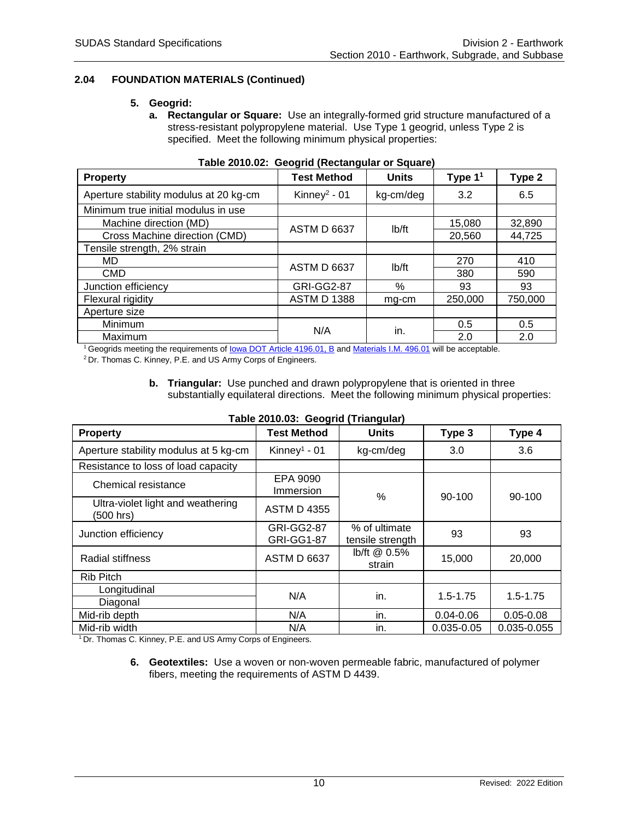# **2.04 FOUNDATION MATERIALS (Continued)**

### **5. Geogrid:**

**a. Rectangular or Square:** Use an integrally-formed grid structure manufactured of a stress-resistant polypropylene material. Use Type 1 geogrid, unless Type 2 is specified. Meet the following minimum physical properties:

| <b>Property</b>                        | <u>and in the contract</u><br><b>Test Method</b> | <b>Units</b>       | Type $11$ | Type 2  |
|----------------------------------------|--------------------------------------------------|--------------------|-----------|---------|
| Aperture stability modulus at 20 kg-cm | Kinney <sup>2</sup> - 01                         | kg-cm/deg          | 3.2       | 6.5     |
| Minimum true initial modulus in use    |                                                  |                    |           |         |
| Machine direction (MD)                 | <b>ASTM D 6637</b>                               | I <sub>b</sub> /ft | 15,080    | 32,890  |
| Cross Machine direction (CMD)          |                                                  |                    | 20,560    | 44,725  |
| Tensile strength, 2% strain            |                                                  |                    |           |         |
| <b>MD</b>                              | <b>ASTM D 6637</b>                               | I <sub>b</sub> /ft | 270       | 410     |
| <b>CMD</b>                             |                                                  |                    | 380       | 590     |
| Junction efficiency                    | <b>GRI-GG2-87</b>                                | $\%$               | 93        | 93      |
| Flexural rigidity                      | <b>ASTM D 1388</b>                               | mg-cm              | 250,000   | 750,000 |
| Aperture size                          |                                                  |                    |           |         |
| Minimum                                | N/A                                              | in.                | 0.5       | 0.5     |
| Maximum                                |                                                  |                    | 2.0       | 2.0     |

|  | Table 2010.02: Geogrid (Rectangular or Square) |  |  |
|--|------------------------------------------------|--|--|
|  |                                                |  |  |

<sup>1</sup>Geogrids meeting the requirements o[f Iowa DOT Article 4196.01, B](https://www.iowadot.gov/erl/current/GS/content/4196.htm) and [Materials I.M. 496.01](https://www.iowadot.gov/erl/current/IM/content/496.01.htm) will be acceptable.

<sup>2</sup>Dr. Thomas C. Kinney, P.E. and US Army Corps of Engineers.

### **b. Triangular:** Use punched and drawn polypropylene that is oriented in three substantially equilateral directions. Meet the following minimum physical properties:

| <b>Property</b>                                | Table Z010.03. Geogrig (Triangular)<br><b>Test Method</b> | <b>Units</b>                      | Type 3         | Type 4        |  |
|------------------------------------------------|-----------------------------------------------------------|-----------------------------------|----------------|---------------|--|
| Aperture stability modulus at 5 kg-cm          | Kinney <sup>1</sup> - 01                                  | kg-cm/deg                         | 3.0            | 3.6           |  |
| Resistance to loss of load capacity            |                                                           |                                   |                |               |  |
| Chemical resistance                            | EPA 9090<br>Immersion                                     | $\frac{0}{0}$                     | 90-100         |               |  |
| Ultra-violet light and weathering<br>(500 hrs) | <b>ASTM D 4355</b>                                        |                                   |                | 90-100        |  |
| Junction efficiency                            | <b>GRI-GG2-87</b><br><b>GRI-GG1-87</b>                    | % of ultimate<br>tensile strength | 93             | 93            |  |
| Radial stiffness                               | <b>ASTM D 6637</b>                                        | lb/ft @ 0.5%<br>strain            | 15,000         | 20,000        |  |
| Rib Pitch                                      |                                                           |                                   |                |               |  |
| Longitudinal                                   | N/A                                                       | in.                               | $1.5 - 1.75$   | $1.5 - 1.75$  |  |
| Diagonal                                       |                                                           |                                   |                |               |  |
| Mid-rib depth                                  | N/A                                                       | in.                               | $0.04 - 0.06$  | $0.05 - 0.08$ |  |
| Mid-rib width                                  | N/A                                                       | in.                               | $0.035 - 0.05$ | 0.035-0.055   |  |

# **Table 2010.03: Geogrid (Triangular)**

<sup>1</sup> Dr. Thomas C. Kinney, P.E. and US Army Corps of Engineers.

**6. Geotextiles:** Use a woven or non-woven permeable fabric, manufactured of polymer fibers, meeting the requirements of ASTM D 4439.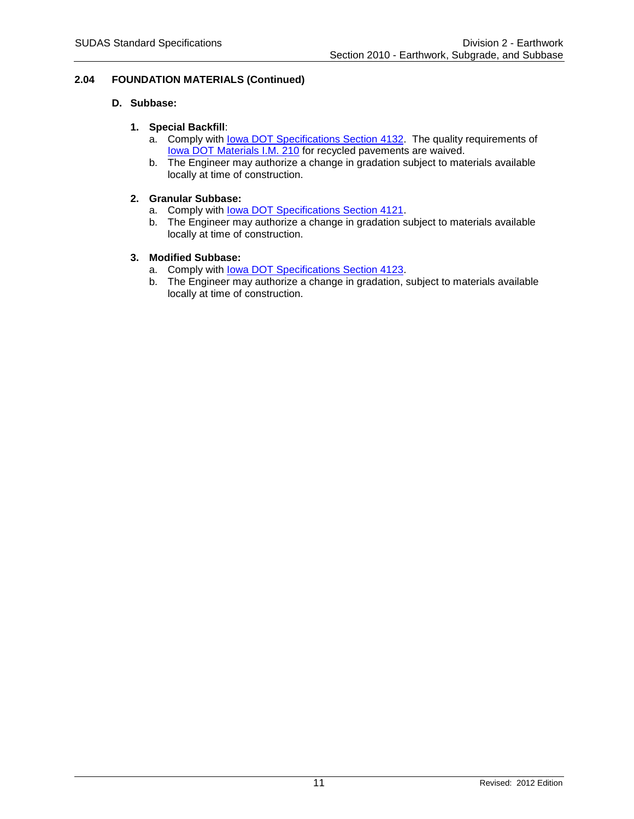# **2.04 FOUNDATION MATERIALS (Continued)**

# **D. Subbase:**

# **1. Special Backfill**:

- a. Comply with [Iowa DOT Specifications Section](https://www.iowadot.gov/erl/current/GS/content/4132.htm) 4132. The quality requirements of [Iowa DOT Materials I.M. 210](https://www.iowadot.gov/erl/current/IM/content/210.htm) for recycled pavements are waived.
- b. The Engineer may authorize a change in gradation subject to materials available locally at time of construction.

# **2. Granular Subbase:**

- a. Comply with lowa DOT Specifications Section 4121.
- b. The Engineer may authorize a change in gradation subject to materials available locally at time of construction.

# **3. Modified Subbase:**

- a. Comply with [Iowa DOT Specifications Section 4123.](https://www.iowadot.gov/erl/current/GS/content/4123.htm)
- b. The Engineer may authorize a change in gradation, subject to materials available locally at time of construction.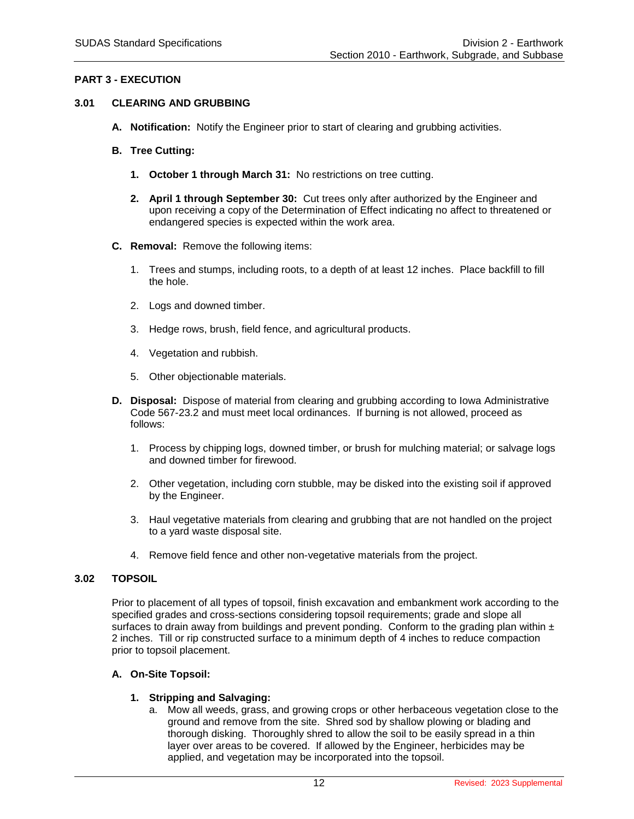# **PART 3 - EXECUTION**

# **3.01 CLEARING AND GRUBBING**

- **A. Notification:** Notify the Engineer prior to start of clearing and grubbing activities.
- **B. Tree Cutting:**
	- **1. October 1 through March 31:** No restrictions on tree cutting.
	- **2. April 1 through September 30:** Cut trees only after authorized by the Engineer and upon receiving a copy of the Determination of Effect indicating no affect to threatened or endangered species is expected within the work area.
- **C. Removal:** Remove the following items:
	- 1. Trees and stumps, including roots, to a depth of at least 12 inches. Place backfill to fill the hole.
	- 2. Logs and downed timber.
	- 3. Hedge rows, brush, field fence, and agricultural products.
	- 4. Vegetation and rubbish.
	- 5. Other objectionable materials.
- **D. Disposal:** Dispose of material from clearing and grubbing according to Iowa Administrative Code 567-23.2 and must meet local ordinances. If burning is not allowed, proceed as follows:
	- 1. Process by chipping logs, downed timber, or brush for mulching material; or salvage logs and downed timber for firewood.
	- 2. Other vegetation, including corn stubble, may be disked into the existing soil if approved by the Engineer.
	- 3. Haul vegetative materials from clearing and grubbing that are not handled on the project to a yard waste disposal site.
	- 4. Remove field fence and other non-vegetative materials from the project.

#### **3.02 TOPSOIL**

Prior to placement of all types of topsoil, finish excavation and embankment work according to the specified grades and cross-sections considering topsoil requirements; grade and slope all surfaces to drain away from buildings and prevent ponding. Conform to the grading plan within  $\pm$ 2 inches. Till or rip constructed surface to a minimum depth of 4 inches to reduce compaction prior to topsoil placement.

#### **A. On-Site Topsoil:**

#### **1. Stripping and Salvaging:**

a. Mow all weeds, grass, and growing crops or other herbaceous vegetation close to the ground and remove from the site. Shred sod by shallow plowing or blading and thorough disking. Thoroughly shred to allow the soil to be easily spread in a thin layer over areas to be covered. If allowed by the Engineer, herbicides may be applied, and vegetation may be incorporated into the topsoil.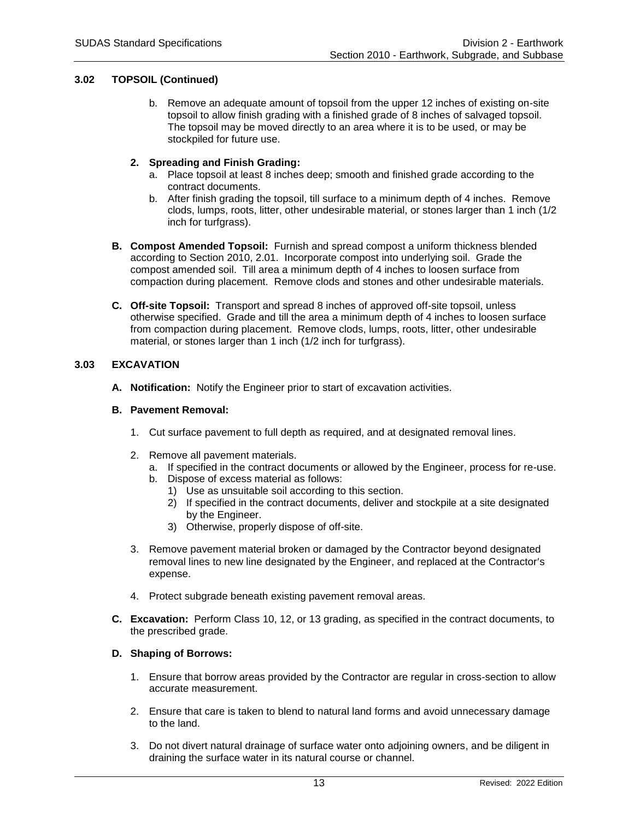# **3.02 TOPSOIL (Continued)**

b. Remove an adequate amount of topsoil from the upper 12 inches of existing on-site topsoil to allow finish grading with a finished grade of 8 inches of salvaged topsoil. The topsoil may be moved directly to an area where it is to be used, or may be stockpiled for future use.

### **2. Spreading and Finish Grading:**

- a. Place topsoil at least 8 inches deep; smooth and finished grade according to the contract documents.
- b. After finish grading the topsoil, till surface to a minimum depth of 4 inches. Remove clods, lumps, roots, litter, other undesirable material, or stones larger than 1 inch (1/2 inch for turfgrass).
- **B. Compost Amended Topsoil:** Furnish and spread compost a uniform thickness blended according to Section 2010, 2.01. Incorporate compost into underlying soil. Grade the compost amended soil. Till area a minimum depth of 4 inches to loosen surface from compaction during placement. Remove clods and stones and other undesirable materials.
- **C. Off-site Topsoil:** Transport and spread 8 inches of approved off-site topsoil, unless otherwise specified. Grade and till the area a minimum depth of 4 inches to loosen surface from compaction during placement. Remove clods, lumps, roots, litter, other undesirable material, or stones larger than 1 inch (1/2 inch for turfgrass).

# **3.03 EXCAVATION**

**A. Notification:** Notify the Engineer prior to start of excavation activities.

### **B. Pavement Removal:**

- 1. Cut surface pavement to full depth as required, and at designated removal lines.
- 2. Remove all pavement materials.
	- a. If specified in the contract documents or allowed by the Engineer, process for re-use.
	- b. Dispose of excess material as follows:
		- 1) Use as unsuitable soil according to this section.
		- 2) If specified in the contract documents, deliver and stockpile at a site designated by the Engineer.
		- 3) Otherwise, properly dispose of off-site.
- 3. Remove pavement material broken or damaged by the Contractor beyond designated removal lines to new line designated by the Engineer, and replaced at the Contractor's expense.
- 4. Protect subgrade beneath existing pavement removal areas.
- **C. Excavation:** Perform Class 10, 12, or 13 grading, as specified in the contract documents, to the prescribed grade.

# **D. Shaping of Borrows:**

- 1. Ensure that borrow areas provided by the Contractor are regular in cross-section to allow accurate measurement.
- 2. Ensure that care is taken to blend to natural land forms and avoid unnecessary damage to the land.
- 3. Do not divert natural drainage of surface water onto adjoining owners, and be diligent in draining the surface water in its natural course or channel.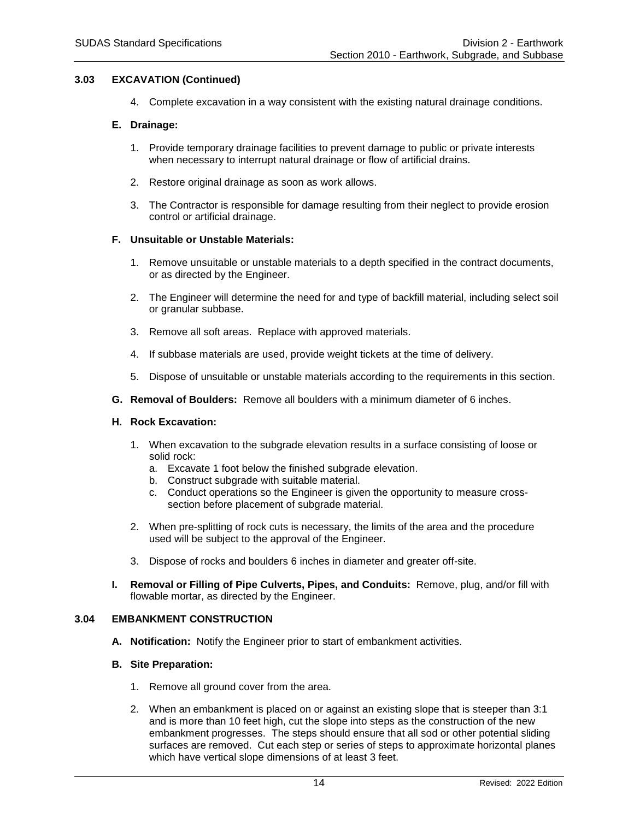### **3.03 EXCAVATION (Continued)**

4. Complete excavation in a way consistent with the existing natural drainage conditions.

#### **E. Drainage:**

- 1. Provide temporary drainage facilities to prevent damage to public or private interests when necessary to interrupt natural drainage or flow of artificial drains.
- 2. Restore original drainage as soon as work allows.
- 3. The Contractor is responsible for damage resulting from their neglect to provide erosion control or artificial drainage.

#### **F. Unsuitable or Unstable Materials:**

- 1. Remove unsuitable or unstable materials to a depth specified in the contract documents, or as directed by the Engineer.
- 2. The Engineer will determine the need for and type of backfill material, including select soil or granular subbase.
- 3. Remove all soft areas. Replace with approved materials.
- 4. If subbase materials are used, provide weight tickets at the time of delivery.
- 5. Dispose of unsuitable or unstable materials according to the requirements in this section.
- **G. Removal of Boulders:** Remove all boulders with a minimum diameter of 6 inches.

#### **H. Rock Excavation:**

- 1. When excavation to the subgrade elevation results in a surface consisting of loose or solid rock:
	- a. Excavate 1 foot below the finished subgrade elevation.
	- b. Construct subgrade with suitable material.
	- c. Conduct operations so the Engineer is given the opportunity to measure crosssection before placement of subgrade material.
- 2. When pre-splitting of rock cuts is necessary, the limits of the area and the procedure used will be subject to the approval of the Engineer.
- 3. Dispose of rocks and boulders 6 inches in diameter and greater off-site.
- **I. Removal or Filling of Pipe Culverts, Pipes, and Conduits:** Remove, plug, and/or fill with flowable mortar, as directed by the Engineer.

#### **3.04 EMBANKMENT CONSTRUCTION**

**A. Notification:** Notify the Engineer prior to start of embankment activities.

#### **B. Site Preparation:**

- 1. Remove all ground cover from the area.
- 2. When an embankment is placed on or against an existing slope that is steeper than 3:1 and is more than 10 feet high, cut the slope into steps as the construction of the new embankment progresses. The steps should ensure that all sod or other potential sliding surfaces are removed. Cut each step or series of steps to approximate horizontal planes which have vertical slope dimensions of at least 3 feet.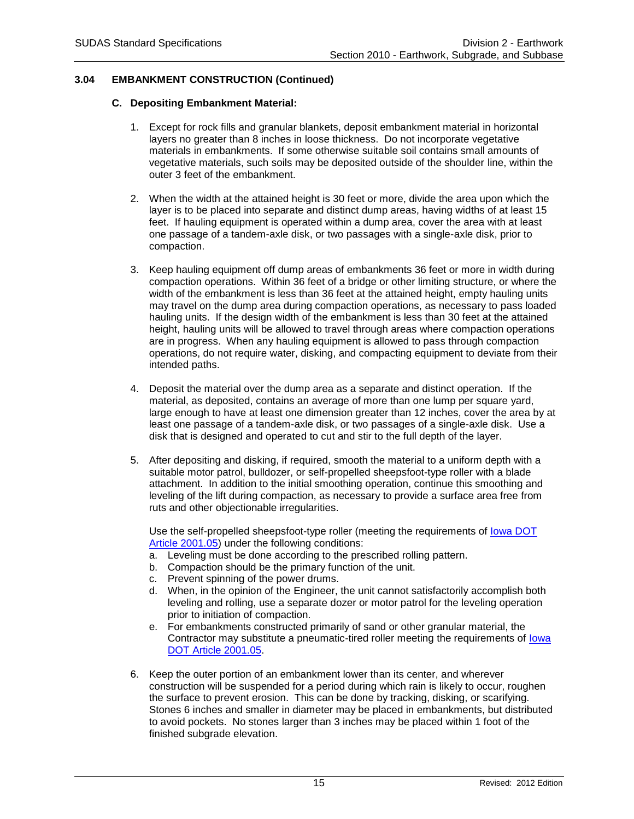# **3.04 EMBANKMENT CONSTRUCTION (Continued)**

### **C. Depositing Embankment Material:**

- 1. Except for rock fills and granular blankets, deposit embankment material in horizontal layers no greater than 8 inches in loose thickness. Do not incorporate vegetative materials in embankments. If some otherwise suitable soil contains small amounts of vegetative materials, such soils may be deposited outside of the shoulder line, within the outer 3 feet of the embankment.
- 2. When the width at the attained height is 30 feet or more, divide the area upon which the layer is to be placed into separate and distinct dump areas, having widths of at least 15 feet. If hauling equipment is operated within a dump area, cover the area with at least one passage of a tandem-axle disk, or two passages with a single-axle disk, prior to compaction.
- 3. Keep hauling equipment off dump areas of embankments 36 feet or more in width during compaction operations. Within 36 feet of a bridge or other limiting structure, or where the width of the embankment is less than 36 feet at the attained height, empty hauling units may travel on the dump area during compaction operations, as necessary to pass loaded hauling units. If the design width of the embankment is less than 30 feet at the attained height, hauling units will be allowed to travel through areas where compaction operations are in progress. When any hauling equipment is allowed to pass through compaction operations, do not require water, disking, and compacting equipment to deviate from their intended paths.
- 4. Deposit the material over the dump area as a separate and distinct operation. If the material, as deposited, contains an average of more than one lump per square yard, large enough to have at least one dimension greater than 12 inches, cover the area by at least one passage of a tandem-axle disk, or two passages of a single-axle disk. Use a disk that is designed and operated to cut and stir to the full depth of the layer.
- 5. After depositing and disking, if required, smooth the material to a uniform depth with a suitable motor patrol, bulldozer, or self-propelled sheepsfoot-type roller with a blade attachment. In addition to the initial smoothing operation, continue this smoothing and leveling of the lift during compaction, as necessary to provide a surface area free from ruts and other objectionable irregularities.

Use the self-propelled sheepsfoot-type roller (meeting the requirements of [Iowa DOT](https://www.iowadot.gov/erl/current/GS/content/2001.htm)  [Article 2001.05\)](https://www.iowadot.gov/erl/current/GS/content/2001.htm) under the following conditions:

- a. Leveling must be done according to the prescribed rolling pattern.
- b. Compaction should be the primary function of the unit.
- c. Prevent spinning of the power drums.
- d. When, in the opinion of the Engineer, the unit cannot satisfactorily accomplish both leveling and rolling, use a separate dozer or motor patrol for the leveling operation prior to initiation of compaction.
- e. For embankments constructed primarily of sand or other granular material, the Contractor may substitute a pneumatic-tired roller meeting the requirements of [Iowa](https://www.iowadot.gov/erl/current/GS/content/2001.htm)  [DOT Article 2001.05.](https://www.iowadot.gov/erl/current/GS/content/2001.htm)
- 6. Keep the outer portion of an embankment lower than its center, and wherever construction will be suspended for a period during which rain is likely to occur, roughen the surface to prevent erosion. This can be done by tracking, disking, or scarifying. Stones 6 inches and smaller in diameter may be placed in embankments, but distributed to avoid pockets. No stones larger than 3 inches may be placed within 1 foot of the finished subgrade elevation.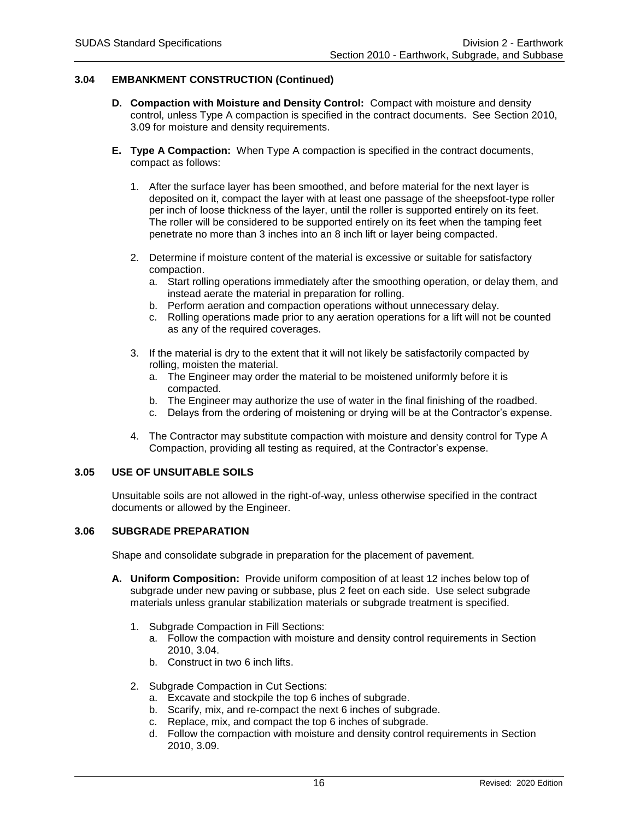# **3.04 EMBANKMENT CONSTRUCTION (Continued)**

- **D. Compaction with Moisture and Density Control:** Compact with moisture and density control, unless Type A compaction is specified in the contract documents. See Section 2010, 3.09 for moisture and density requirements.
- **E. Type A Compaction:** When Type A compaction is specified in the contract documents, compact as follows:
	- 1. After the surface layer has been smoothed, and before material for the next layer is deposited on it, compact the layer with at least one passage of the sheepsfoot-type roller per inch of loose thickness of the layer, until the roller is supported entirely on its feet. The roller will be considered to be supported entirely on its feet when the tamping feet penetrate no more than 3 inches into an 8 inch lift or layer being compacted.
	- 2. Determine if moisture content of the material is excessive or suitable for satisfactory compaction.
		- a. Start rolling operations immediately after the smoothing operation, or delay them, and instead aerate the material in preparation for rolling.
		- b. Perform aeration and compaction operations without unnecessary delay.
		- c. Rolling operations made prior to any aeration operations for a lift will not be counted as any of the required coverages.
	- 3. If the material is dry to the extent that it will not likely be satisfactorily compacted by rolling, moisten the material.
		- a. The Engineer may order the material to be moistened uniformly before it is compacted.
		- b. The Engineer may authorize the use of water in the final finishing of the roadbed.
		- c. Delays from the ordering of moistening or drying will be at the Contractor's expense.
	- 4. The Contractor may substitute compaction with moisture and density control for Type A Compaction, providing all testing as required, at the Contractor's expense.

# **3.05 USE OF UNSUITABLE SOILS**

Unsuitable soils are not allowed in the right-of-way, unless otherwise specified in the contract documents or allowed by the Engineer.

# **3.06 SUBGRADE PREPARATION**

Shape and consolidate subgrade in preparation for the placement of pavement.

- **A. Uniform Composition:** Provide uniform composition of at least 12 inches below top of subgrade under new paving or subbase, plus 2 feet on each side. Use select subgrade materials unless granular stabilization materials or subgrade treatment is specified.
	- 1. Subgrade Compaction in Fill Sections:
		- a. Follow the compaction with moisture and density control requirements in Section 2010, 3.04.
		- b. Construct in two 6 inch lifts.
	- 2. Subgrade Compaction in Cut Sections:
		- a. Excavate and stockpile the top 6 inches of subgrade.
		- b. Scarify, mix, and re-compact the next 6 inches of subgrade.
		- c. Replace, mix, and compact the top 6 inches of subgrade.
		- d. Follow the compaction with moisture and density control requirements in Section 2010, 3.09.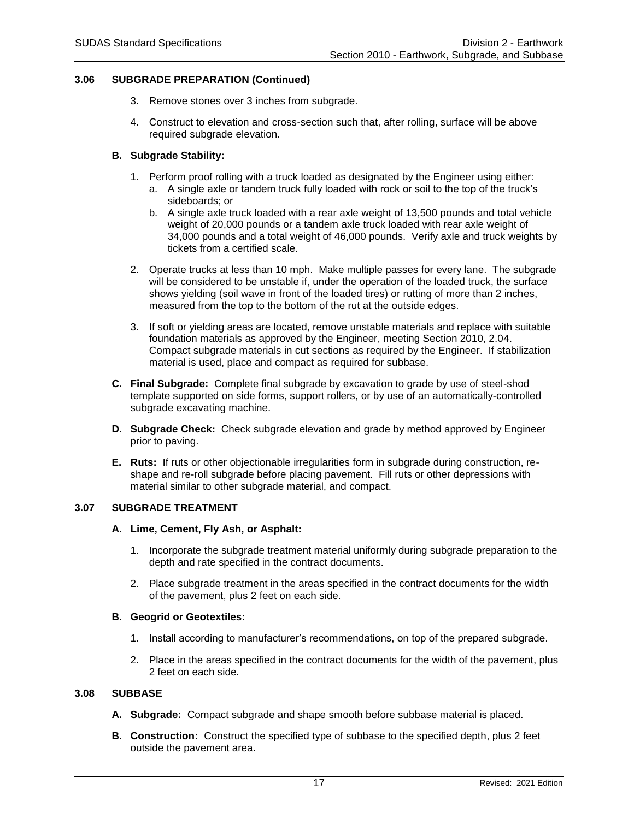### **3.06 SUBGRADE PREPARATION (Continued)**

- 3. Remove stones over 3 inches from subgrade.
- 4. Construct to elevation and cross-section such that, after rolling, surface will be above required subgrade elevation.

### **B. Subgrade Stability:**

- 1. Perform proof rolling with a truck loaded as designated by the Engineer using either:
	- a. A single axle or tandem truck fully loaded with rock or soil to the top of the truck's sideboards; or
	- b. A single axle truck loaded with a rear axle weight of 13,500 pounds and total vehicle weight of 20,000 pounds or a tandem axle truck loaded with rear axle weight of 34,000 pounds and a total weight of 46,000 pounds. Verify axle and truck weights by tickets from a certified scale.
- 2. Operate trucks at less than 10 mph. Make multiple passes for every lane. The subgrade will be considered to be unstable if, under the operation of the loaded truck, the surface shows yielding (soil wave in front of the loaded tires) or rutting of more than 2 inches, measured from the top to the bottom of the rut at the outside edges.
- 3. If soft or yielding areas are located, remove unstable materials and replace with suitable foundation materials as approved by the Engineer, meeting Section 2010, 2.04. Compact subgrade materials in cut sections as required by the Engineer. If stabilization material is used, place and compact as required for subbase.
- **C. Final Subgrade:** Complete final subgrade by excavation to grade by use of steel-shod template supported on side forms, support rollers, or by use of an automatically-controlled subgrade excavating machine.
- **D. Subgrade Check:** Check subgrade elevation and grade by method approved by Engineer prior to paving.
- **E. Ruts:** If ruts or other objectionable irregularities form in subgrade during construction, reshape and re-roll subgrade before placing pavement. Fill ruts or other depressions with material similar to other subgrade material, and compact.

### **3.07 SUBGRADE TREATMENT**

#### **A. Lime, Cement, Fly Ash, or Asphalt:**

- 1. Incorporate the subgrade treatment material uniformly during subgrade preparation to the depth and rate specified in the contract documents.
- 2. Place subgrade treatment in the areas specified in the contract documents for the width of the pavement, plus 2 feet on each side.

#### **B. Geogrid or Geotextiles:**

- 1. Install according to manufacturer's recommendations, on top of the prepared subgrade.
- 2. Place in the areas specified in the contract documents for the width of the pavement, plus 2 feet on each side.

#### **3.08 SUBBASE**

- **A. Subgrade:** Compact subgrade and shape smooth before subbase material is placed.
- **B. Construction:** Construct the specified type of subbase to the specified depth, plus 2 feet outside the pavement area.